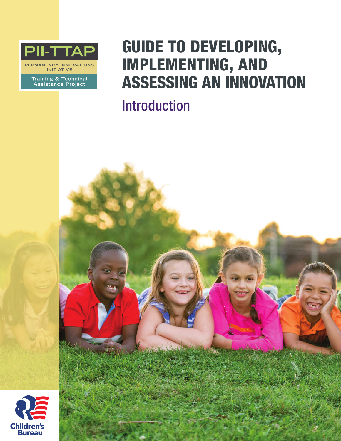

**ERMANENCY INNOVATIONS INITIATIVE** 

Training & Technical<br>Assistance Project

## GUIDE TO DEVELOPING, IMPLEMENTING, AND ASSESSING AN INNOVATION

Introduction

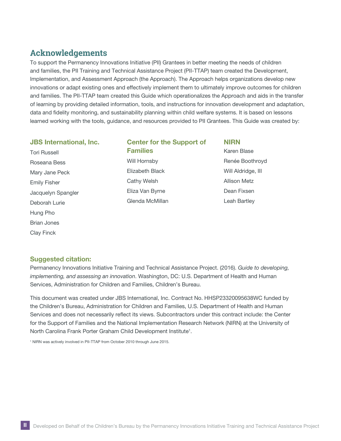## **Acknowledgements**

To support the Permanency Innovations Initiative (PII) Grantees in better meeting the needs of children and families, the PII Training and Technical Assistance Project (PII-TTAP) team created the Development, Implementation, and Assessment Approach (the Approach). The Approach helps organizations develop new innovations or adapt existing ones and effectively implement them to ultimately improve outcomes for children and families. The PII-TTAP team created this Guide which operationalizes the Approach and aids in the transfer of learning by providing detailed information, tools, and instructions for innovation development and adaptation, data and fidelity monitoring, and sustainability planning within child welfare systems. It is based on lessons learned working with the tools, guidance, and resources provided to PII Grantees. This Guide was created by:

#### JBS international, inc.

Tori Russell Roseana Bess Mary Jane Peck Emily Fisher Jacquelyn Spangler Deborah Lurie Hung Pho Brian Jones Clay Finck

## Center for the Support of Families Will Hornsby

Elizabeth Black Cathy Welsh Eliza Van Byrne Glenda McMillan

NiRN Karen Blase Renée Boothroyd Will Aldridge, III Allison Metz Dean Fixsen Leah Bartley

#### Suggested citation:

Permanency Innovations Initiative Training and Technical Assistance Project. (2016). *Guide to developing, implementing, and assessing an innovation*. Washington, DC: U.S. Department of Health and Human Services, Administration for Children and Families, Children's Bureau.

This document was created under JBS International, Inc. Contract No. HHSP23320095638WC funded by the Children's Bureau, Administration for Children and Families, U.S. Department of Health and Human Services and does not necessarily reflect its views. Subcontractors under this contract include: the Center for the Support of Families and the National Implementation Research Network (NIRN) at the University of North Carolina Frank Porter Graham Child Development Institute<sup>1</sup>.

<sup>1</sup> NIRN was actively involved in PII-TTAP from October 2010 through June 2015.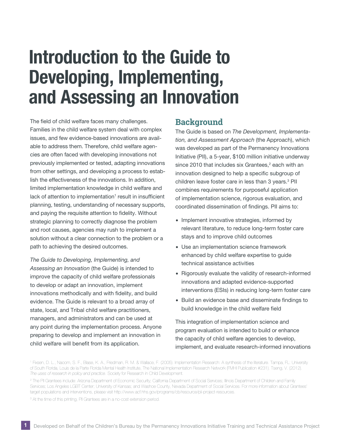# Introduction to the Guide to Developing, Implementing, and Assessing an Innovation

The field of child welfare faces many challenges. Families in the child welfare system deal with complex issues, and few evidence-based innovations are available to address them. Therefore, child welfare agencies are often faced with developing innovations not previously implemented or tested, adapting innovations from other settings, and developing a process to establish the effectiveness of the innovations. In addition, limited implementation knowledge in child welfare and lack of attention to implementation<sup>1</sup> result in insufficient planning, testing, understanding of necessary supports, and paying the requisite attention to fidelity. Without strategic planning to correctly diagnose the problem and root causes, agencies may rush to implement a solution without a clear connection to the problem or a path to achieving the desired outcomes.

 improve the capacity of child welfare professionals to develop or adapt an innovation, implement preparing to develop and implement an innovation in child welfare will benefit from its application. *The Guide to Developing, Implementing, and Assessing an Innovation* (the Guide) is intended to innovations methodically and with fidelity, and build evidence. The Guide is relevant to a broad array of state, local, and Tribal child welfare practitioners, managers, and administrators and can be used at any point during the implementation process. Anyone

### **Background**

The Guide is based on *The Development, Implementation, and Assessment Approach* (the Approach), which was developed as part of the Permanency Innovations Initiative (PII), a 5-year, \$100 million initiative underway since 2010 that includes six Grantees,<sup>2</sup> each with an innovation designed to help a specific subgroup of children leave foster care in less than 3 years.<sup>3</sup> PII combines requirements for purposeful application of implementation science, rigorous evaluation, and coordinated dissemination of findings. PII aims to:

- ∙ Implement innovative strategies, informed by relevant literature, to reduce long-term foster care stays and to improve child outcomes
- ∙ Use an implementation science framework enhanced by child welfare expertise to guide technical assistance activities
- ∙ Rigorously evaluate the validity of research-informed innovations and adapted evidence-supported interventions (ESIs) in reducing long-term foster care
- ∙ Build an evidence base and disseminate findings to build knowledge in the child welfare field

This integration of implementation science and program evaluation is intended to build or enhance the capacity of child welfare agencies to develop, implement, and evaluate research-informed innovations

<sup>3</sup> At the time of this printing, PII Grantees are in a no-cost extension period.

<sup>1</sup> Fixsen, D. L., Naoom, S. F., Blase, K. A., Friedman, R. M. & Wallace, F. (2005). Implementation Research: A synthesis of the literature. Tampa, FL: University of South Florida, Louis de la Parte Florida Mental Health Institute, The National Implementation Research Network (FMHI Publication #231). Tseng, V. (2012). *The uses of research in policy and practice*. Society for Research in Child Development.

<sup>2</sup> The PII Grantees include: Arizona Department of Economic Security; California Department of Social Services; Illinois Department of Children and Family Services; Los Angeles LGBT Center; University of Kansas; and Washoe County, Nevada Department of Social Services. For more information about Grantees' target populations and interventions, please visit<http://www.acf.hhs.gov/programs/cb/resource/pii-project-resources>.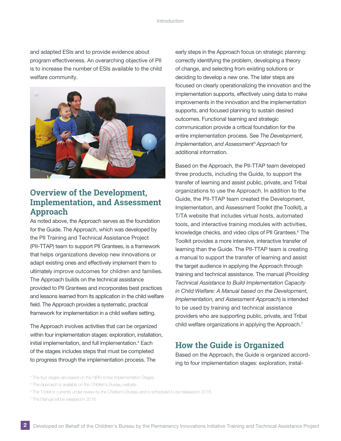and adapted ESIs and to provide evidence about program effectiveness. An overarching objective of PII is to increase the number of ESIs available to the child welfare community.



## **Overview of the Development, Implementation, and Assessment Approach**

As noted above, the Approach serves as the foundation for the Guide. The Approach, which was developed by the PII Training and Technical Assistance Project (PII-TTAP) team to support PII Grantees, is a framework that helps organizations develop new innovations or adapt existing ones and effectively implement them to ultimately improve outcomes for children and families. The Approach builds on the technical assistance provided to PII Grantees and incorporates best practices and lessons learned from its application in the child welfare field. The Approach provides a systematic, practical framework for implementation in a child welfare setting.

The Approach involves activities that can be organized within four implementation stages: exploration, installation, initial implementation, and full implementation.<sup>4</sup> Each of the stages includes steps that must be completed to progress through the implementation process. The

early steps in the Approach focus on strategic planning: correctly identifying the problem, developing a theory of change, and selecting from existing solutions or deciding to develop a new one. The later steps are focused on clearly operationalizing the innovation and the implementation supports, effectively using data to make improvements in the innovation and the implementation supports, and focused planning to sustain desired outcomes. Functional teaming and strategic communication provide a critical foundation for the entire implementation process. See *The Development, Implementation, and Assessment*<sup>5</sup> *Approach* for additional information.

Based on the Approach, the PII-TTAP team developed three products, including the Guide, to support the transfer of learning and assist public, private, and Tribal organizations to use the Approach. In addition to the Guide, the PII-TTAP team created the Development, Implementation, and Assessment Toolkit (the Toolkit), a T/TA website that includes virtual hosts, automated tools, and interactive training modules with activities, knowledge checks, and video clips of PII Grantees.<sup>6</sup> The Toolkit provides a more intensive, interactive transfer of learning than the Guide. The PII-TTAP team is creating a manual to support the transfer of learning and assist the target audience in applying the Approach through training and technical assistance. The manual (*Providing Technical Assistance to Build Implementation Capacity in Child Welfare: A Manual based on the Development, Implementation, and Assessment Approach*) is intended to be used by training and technical assistance providers who are supporting public, private, and Tribal child welfare organizations in applying the Approach.<sup>7</sup>

## **How the Guide is Organized**

Based on the Approach, the Guide is organized according to four implementation stages: exploration, instal

7 The Manual will be released in 2016.

<sup>4</sup> The four stages are based on the NIRN Active Implementation Stages.

<sup>&</sup>lt;sup>5</sup> The Approach is available on the Children's Bureau website.

<sup>6</sup> The Toolkit is currently under review by the Children's Bureau and is scheduled to be released in 2016.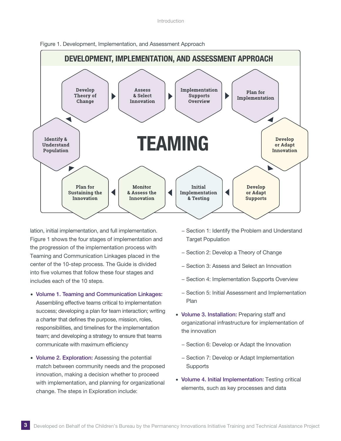



lation, initial implementation, and full implementation. Figure 1 shows the four stages of implementation and the progression of the implementation process with Teaming and Communication Linkages placed in the center of the 10-step process. The Guide is divided into five volumes that follow these four stages and includes each of the 10 steps.

- ∙ Volume 1. Teaming and Communication Linkages: Assembling effective teams critical to implementation success; developing a plan for team interaction; writing a charter that defines the purpose, mission, roles, responsibilities, and timelines for the implementation team; and developing a strategy to ensure that teams communicate with maximum efficiency
- ∙ Volume 2. Exploration: Assessing the potential match between community needs and the proposed innovation, making a decision whether to proceed with implementation, and planning for organizational change. The steps in Exploration include:
- − Section 1: Identify the Problem and Understand **Target Population**
- − Section 2: Develop a Theory of Change
- − Section 3: Assess and Select an Innovation
- − Section 4: Implementation Supports Overview
- − Section 5: Initial Assessment and Implementation Plan
- ∙ Volume 3. Installation: Preparing staff and organizational infrastructure for implementation of the innovation
	- − Section 6: Develop or Adapt the Innovation
	- − Section 7: Develop or Adapt Implementation **Supports**
- ∙ Volume 4. Initial Implementation: Testing critical elements, such as key processes and data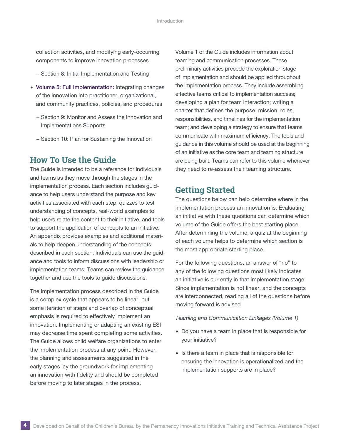collection activities, and modifying early-occurring components to improve innovation processes

- − Section 8: Initial Implementation and Testing
- ∙ Volume 5: Full Implementation: Integrating changes of the innovation into practitioner, organizational, and community practices, policies, and procedures
	- − Section 9: Monitor and Assess the Innovation and Implementations Supports
	- − Section 10: Plan for Sustaining the Innovation

## **How To Use the Guide**

The Guide is intended to be a reference for individuals and teams as they move through the stages in the implementation process. Each section includes guidance to help users understand the purpose and key activities associated with each step, quizzes to test understanding of concepts, real-world examples to help users relate the content to their initiative, and tools to support the application of concepts to an initiative. An appendix provides examples and additional materials to help deepen understanding of the concepts described in each section. Individuals can use the guidance and tools to inform discussions with leadership or implementation teams. Teams can review the guidance together and use the tools to guide discussions.

The implementation process described in the Guide is a complex cycle that appears to be linear, but some iteration of steps and overlap of conceptual emphasis is required to effectively implement an innovation. Implementing or adapting an existing ESI may decrease time spent completing some activities. The Guide allows child welfare organizations to enter the implementation process at any point. However, the planning and assessments suggested in the early stages lay the groundwork for implementing an innovation with fidelity and should be completed before moving to later stages in the process.

Volume 1 of the Guide includes information about teaming and communication processes. These preliminary activities precede the exploration stage of implementation and should be applied throughout the implementation process. They include assembling effective teams critical to implementation success; developing a plan for team interaction; writing a charter that defines the purpose, mission, roles, responsibilities, and timelines for the implementation team; and developing a strategy to ensure that teams communicate with maximum efficiency. The tools and guidance in this volume should be used at the beginning of an initiative as the core team and teaming structure are being built. Teams can refer to this volume whenever they need to re-assess their teaming structure.

## **Getting Started**

The questions below can help determine where in the implementation process an innovation is. Evaluating an initiative with these questions can determine which volume of the Guide offers the best starting place. After determining the volume, a quiz at the beginning of each volume helps to determine which section is the most appropriate starting place.

For the following questions, an answer of "no" to any of the following questions most likely indicates an initiative is currently in that implementation stage. Since implementation is not linear, and the concepts are interconnected, reading all of the questions before moving forward is advised.

*Teaming and Communication Linkages (Volume 1)* 

- ∙ Do you have a team in place that is responsible for your initiative?
- ∙ Is there a team in place that is responsible for ensuring the innovation is operationalized and the implementation supports are in place?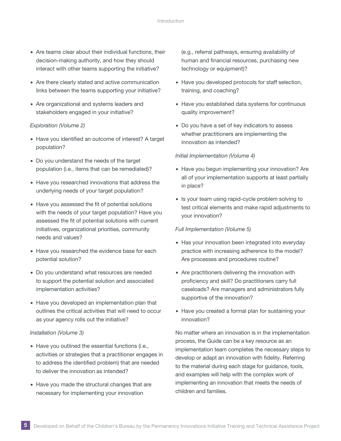- ∙ Are teams clear about their individual functions, their decision-making authority, and how they should interact with other teams supporting the initiative?
- ∙ Are there clearly stated and active communication links between the teams supporting your initiative?
- ∙ Are organizational and systems leaders and stakeholders engaged in your initiative?

#### *Exploration (Volume 2)*

- ∙ Have you identified an outcome of interest? A target population?
- ∙ Do you understand the needs of the target population (i.e., items that can be remediated)?
- ∙ Have you researched innovations that address the underlying needs of your target population?
- ∙ Have you assessed the fit of potential solutions with the needs of your target population? Have you assessed the fit of potential solutions with current initiatives, organizational priorities, community needs and values?
- ∙ Have you researched the evidence base for each potential solution?
- ∙ Do you understand what resources are needed to support the potential solution and associated implementation activities?
- ∙ Have you developed an implementation plan that outlines the critical activities that will need to occur as your agency rolls out the initiative?

#### *Installation (Volume 3)*

- ∙ Have you outlined the essential functions (i.e., activities or strategies that a practitioner engages in to address the identified problem) that are needed to deliver the innovation as intended?
- ∙ Have you made the structural changes that are necessary for implementing your innovation

(e.g., referral pathways, ensuring availability of human and financial resources, purchasing new technology or equipment)?

- ∙ Have you developed protocols for staff selection, training, and coaching?
- ∙ Have you established data systems for continuous quality improvement?
- ∙ Do you have a set of key indicators to assess whether practitioners are implementing the innovation as intended?

#### *Initial Implementation (Volume 4)*

- ∙ Have you begun implementing your innovation? Are all of your implementation supports at least partially in place?
- ∙ Is your team using rapid-cycle problem solving to test critical elements and make rapid adjustments to your innovation?

#### *Full Implementation (Volume 5)*

- ∙ Has your innovation been integrated into everyday practice with increasing adherence to the model? Are processes and procedures routine?
- Are practitioners delivering the innovation with proficiency and skill? Do practitioners carry full caseloads? Are managers and administrators fully supportive of the innovation?
- ∙ Have you created a formal plan for sustaining your innovation?

No matter where an innovation is in the implementation process, the Guide can be a key resource as an implementation team completes the necessary steps to develop or adapt an innovation with fidelity. Referring to the material during each stage for guidance, tools, and examples will help with the complex work of implementing an innovation that meets the needs of children and families.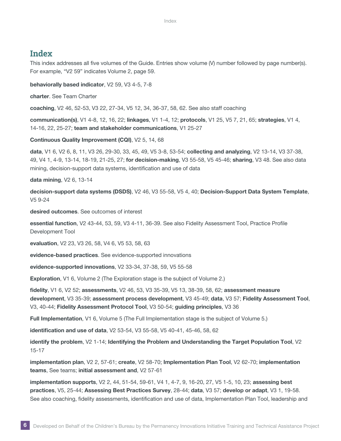### **Index**

This index addresses all five volumes of the Guide. Entries show volume (V) number followed by page number(s). For example, "V2 59" indicates Volume 2, page 59.

#### behaviorally based indicator, V2 59, V3 4-5, 7-8

charter. See Team Charter

coaching, V2 46, 52-53, V3 22, 27-34, V5 12, 34, 36-37, 58, 62. See also staff coaching

communication(s), V1 4-8, 12, 16, 22; linkages, V1 1-4, 12; protocols, V1 25, V5 7, 21, 65; strategies, V1 4, 14-16, 22, 25-27; team and stakeholder communications, V1 25-27

Continuous Quality Improvement (CQI), V2 5, 14, 68

data, V1 6, V2 6, 8, 11, V3 26, 29-30, 33, 45, 49, V5 3-8, 53-54; collecting and analyzing, V2 13-14, V3 37-38, 49, V4 1, 4-9, 13-14, 18-19, 21-25, 27; for decision-making, V3 55-58, V5 45-46; sharing, V3 48. See also data mining, decision-support data systems, identification and use of data

data mining, V2 6, 13-14

decision-support data systems (DSDS), V2 46, V3 55-58, V5 4, 40; Decision-Support Data System Template, V5 9-24

desired outcomes. See outcomes of interest

essential function, V2 43-44, 53, 59, V3 4-11, 36-39. See also Fidelity Assessment Tool, Practice Profile Development Tool

evaluation, V2 23, V3 26, 58, V4 6, V5 53, 58, 63

evidence-based practices. See evidence-supported innovations

evidence-supported innovations, V2 33-34, 37-38, 59, V5 55-58

Exploration, V1 6, Volume 2 (The Exploration stage is the subject of Volume 2.)

fidelity, V1 6, V2 52; assessments, V2 46, 53, V3 35-39, V5 13, 38-39, 58, 62; assessment measure development, V3 35-39; assessment process development, V3 45-49; data, V3 57; Fidelity Assessment Tool, V3, 40-44; Fidelity Assessment Protocol Tool, V3 50-54; guiding principles, V3 36

Full implementation, V1 6, Volume 5 (The Full Implementation stage is the subject of Volume 5.)

identification and use of data, V2 53-54, V3 55-58, V5 40-41, 45-46, 58, 62

identify the problem, V2 1-14; identifying the Problem and Understanding the Target Population Tool, V2 15-17

implementation plan, V2 2, 57-61; create, V2 58-70; implementation Plan Tool, V2 62-70; implementation teams, See teams; initial assessment and, V2 57-61

implementation supports, V2 2, 44, 51-54, 59-61, V4 1, 4-7, 9, 16-20, 27, V5 1-5, 10, 23; assessing best practices, V5, 25-44; Assessing Best Practices Survey, 28-44; data, V3 57; develop or adapt, V3 1, 19-58. See also coaching, fidelity assessments, identification and use of data, Implementation Plan Tool, leadership and